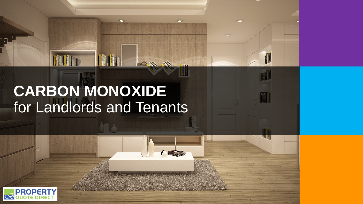# **CARBON MONOXIDE**  for Landlords and Tenants

0

 $\bigcirc$ 

AII

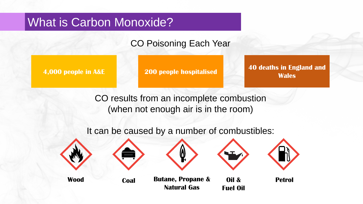## What is Carbon Monoxide?

### CO Poisoning Each Year

**4,000 people in A&E 200 people hospitalised 40 deaths in England and Wales**

> CO results from an incomplete combustion (when not enough air is in the room)

It can be caused by a number of combustibles:

**Natural Gas**





**Wood Coal Butane, Propane &**





**Oil & Fuel Oil**

**Petrol**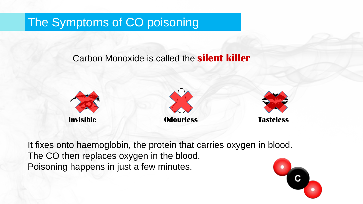## The Symptoms of CO poisoning

Carbon Monoxide is called the **silent killer**







It fixes onto haemoglobin, the protein that carries oxygen in blood. The CO then replaces oxygen in the blood. Poisoning happens in just a few minutes.

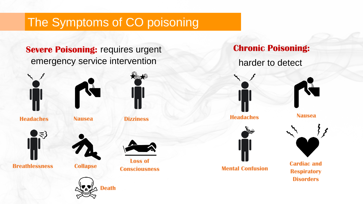## The Symptoms of CO poisoning

### **Severe Poisoning: requires urgent** emergency service intervention



**Headaches Nausea Dizziness**



**Breathlessness Collapse**







**Loss of Consciousness**

**Chronic Poisoning:**

harder to detect



**Headaches Nausea**

**Mental Confusion**



**Cardiac and Respiratory Disorders**

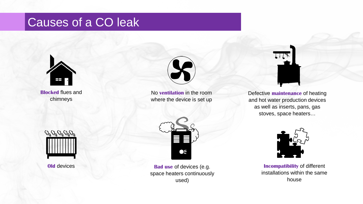## Causes of a CO leak



**Blocked** flues and chimneys



No **ventilation** in the room where the device is set up



Defective **maintenance** of heating and hot water production devices as well as inserts, pans, gas stoves, space heaters…





**Old** devices **Bad use** of devices (e.g. space heaters continuously used)



**Incompatibility** of different installations within the same house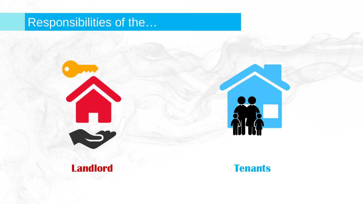## Responsibilities of the…





**Landlord Tenants**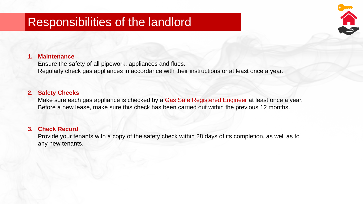## Responsibilities of the landlord

### **1. Maintenance**

Ensure the safety of all pipework, appliances and flues. Regularly check gas appliances in accordance with their instructions or at least once a year.

### **2. Safety Checks**

Make sure each gas appliance is checked by a Gas Safe Registered Engineer at least once a year. Before a new lease, make sure this check has been carried out within the previous 12 months.

### **3. Check Record**

Provide your tenants with a copy of the safety check within 28 days of its completion, as well as to any new tenants.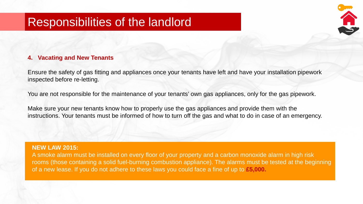## Responsibilities of the landlord

### **4. Vacating and New Tenants**

Ensure the safety of gas fitting and appliances once your tenants have left and have your installation pipework inspected before re-letting.

You are not responsible for the maintenance of your tenants' own gas appliances, only for the gas pipework.

Make sure your new tenants know how to properly use the gas appliances and provide them with the instructions. Your tenants must be informed of how to turn off the gas and what to do in case of an emergency.

### **NEW LAW 2015:**

A smoke alarm must be installed on every floor of your property and a carbon monoxide alarm in high risk rooms (those containing a solid fuel-burning combustion appliance). The alarms must be tested at the beginning of a new lease. If you do not adhere to these laws you could face a fine of up to **£5,000.**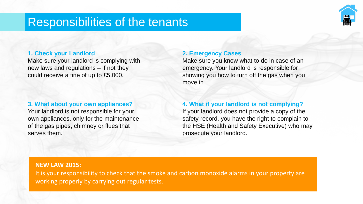## Responsibilities of the tenants



### **1. Check your Landlord**

Make sure your landlord is complying with new laws and regulations – if not they could receive a fine of up to £5,000.

### **3. What about your own appliances?**

Your landlord is not responsible for your own appliances, only for the maintenance of the gas pipes, chimney or flues that serves them.

### **2. Emergency Cases**

Make sure you know what to do in case of an emergency. Your landlord is responsible for showing you how to turn off the gas when you move in.

### **4. What if your landlord is not complying?**

If your landlord does not provide a copy of the safety record, you have the right to complain to the HSE (Health and Safety Executive) who may prosecute your landlord.

### **NEW LAW 2015:**

It is your responsibility to check that the smoke and carbon monoxide alarms in your property are working properly by carrying out regular tests.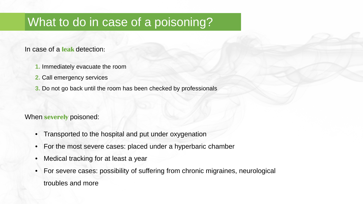## What to do in case of a poisoning?

In case of a **leak** detection:

- **1.** Immediately evacuate the room
- **2.** Call emergency services
- **3.** Do not go back until the room has been checked by professionals

When **severely** poisoned:

- Transported to the hospital and put under oxygenation
- For the most severe cases: placed under a hyperbaric chamber
- Medical tracking for at least a year
- For severe cases: possibility of suffering from chronic migraines, neurological troubles and more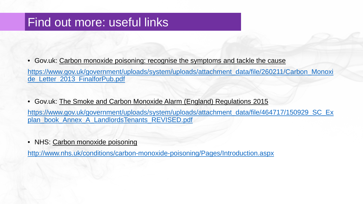## Find out more: useful links

• Gov.uk: Carbon monoxide poisoning: recognise the symptoms and tackle the cause

[https://www.gov.uk/government/uploads/system/uploads/attachment\\_data/file/260211/Carbon\\_Monoxi](https://www.gov.uk/government/uploads/system/uploads/attachment_data/file/260211/Carbon_Monoxide_Letter_2013_FinalforPub.pdf) de\_Letter\_2013\_FinalforPub.pdf

• Gov.uk: The Smoke and Carbon Monoxide Alarm (England) Regulations 2015

[https://www.gov.uk/government/uploads/system/uploads/attachment\\_data/file/464717/150929\\_SC\\_Ex](https://www.gov.uk/government/uploads/system/uploads/attachment_data/file/464717/150929_SC_Explan_book_Annex_A_LandlordsTenants_REVISED.pdf) plan\_book\_Annex\_A\_LandlordsTenants\_REVISED.pdf

NHS: Carbon monoxide poisoning

<http://www.nhs.uk/conditions/carbon-monoxide-poisoning/Pages/Introduction.aspx>